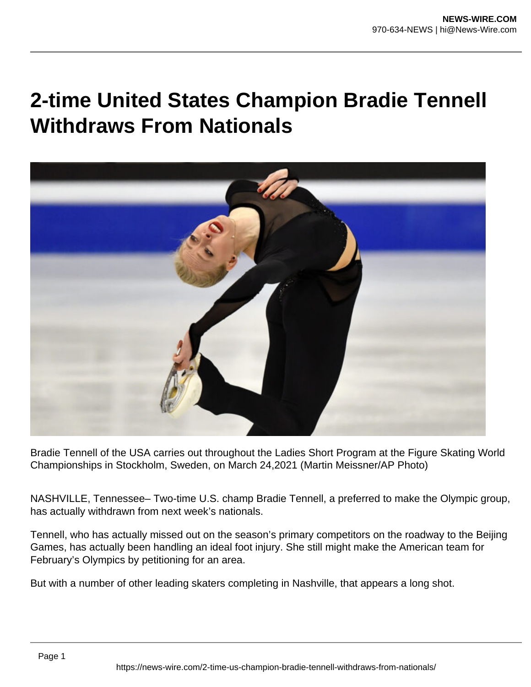## **2-time United States Champion Bradie Tennell Withdraws From Nationals**



Bradie Tennell of the USA carries out throughout the Ladies Short Program at the Figure Skating World Championships in Stockholm, Sweden, on March 24,2021 (Martin Meissner/AP Photo)

NASHVILLE, Tennessee– Two-time U.S. champ Bradie Tennell, a preferred to make the Olympic group, has actually withdrawn from next week's nationals.

Tennell, who has actually missed out on the season's primary competitors on the roadway to the Beijing Games, has actually been handling an ideal foot injury. She still might make the American team for February's Olympics by petitioning for an area.

But with a number of other leading skaters completing in Nashville, that appears a long shot.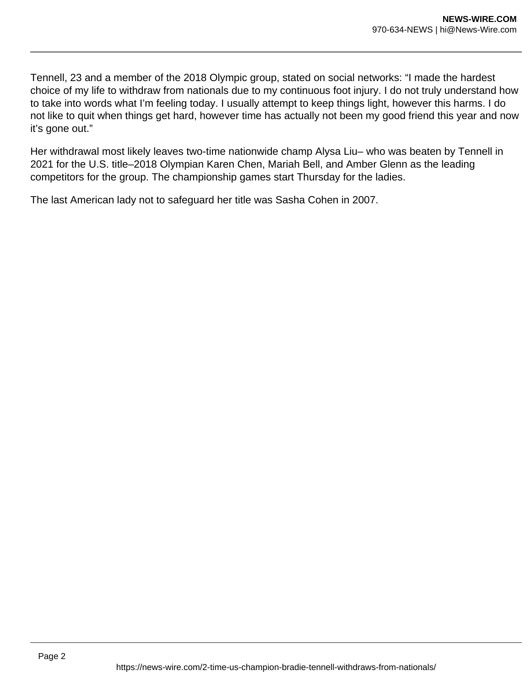Tennell, 23 and a member of the 2018 Olympic group, stated on social networks: "I made the hardest choice of my life to withdraw from nationals due to my continuous foot injury. I do not truly understand how to take into words what I'm feeling today. I usually attempt to keep things light, however this harms. I do not like to quit when things get hard, however time has actually not been my good friend this year and now it's gone out."

Her withdrawal most likely leaves two-time nationwide champ Alysa Liu– who was beaten by Tennell in 2021 for the U.S. title–2018 Olympian Karen Chen, Mariah Bell, and Amber Glenn as the leading competitors for the group. The championship games start Thursday for the ladies.

The last American lady not to safeguard her title was Sasha Cohen in 2007.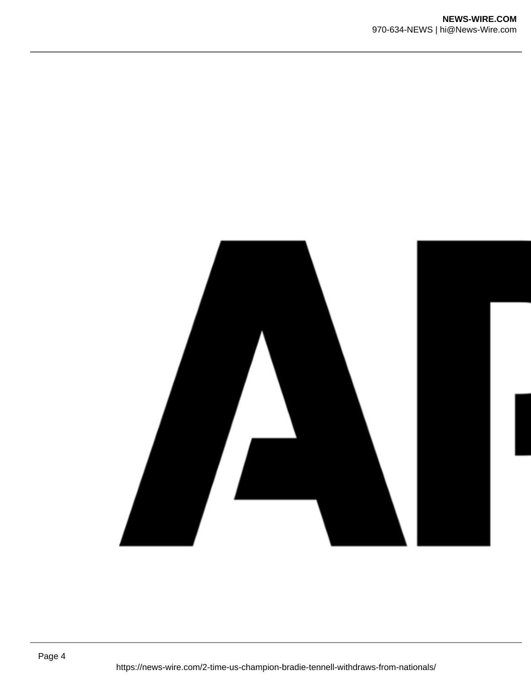